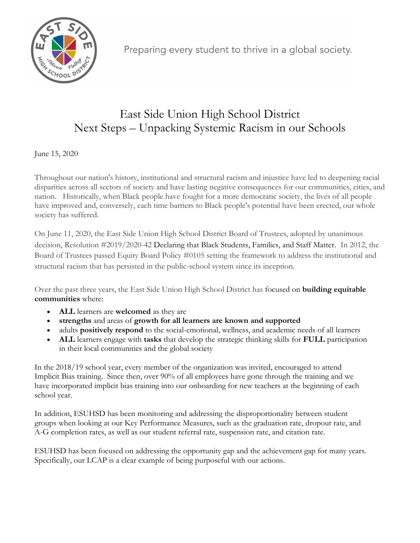

Preparing every student to thrive in a global society.

## East Side Union High School District Next Steps – Unpacking Systemic Racism in our Schools

June 15, 2020

Throughout our nation's history, institutional and structural racism and injustice have led to deepening racial disparities across all sectors of society and have lasting negative consequences for our communities, cities, and nation. Historically, when Black people have fought for a more democratic society, the lives of all people have improved and, conversely, each time barriers to Black people's potential have been erected, our whole society has suffered.

On June 11, 2020, the East Side Union High School District Board of Trustees, adopted by unanimous decision, Resolution #2019/2020-42 Declaring that Black Students, Families, and Staff Matter. In 2012, the Board of Trustees passed Equity Board Policy #0105 setting the framework to address the institutional and structural racism that has persisted in the public-school system since its inception.

Over the past three years, the East Side Union High School District has focused on **building equitable communities** where:

- **ALL** learners are **welcomed** as they are
- **strengths** and areas of **growth for all learners are known and supported**
- adults **positively respond** to the social-emotional, wellness, and academic needs of all learners
- **ALL** learners engage with **tasks** that develop the strategic thinking skills for **FULL** participation in their local communities and the global society

In the 2018/19 school year, every member of the organization was invited, encouraged to attend Implicit Bias training. Since then, over 90% of all employees have gone through the training and we have incorporated implicit bias training into our onboarding for new teachers at the beginning of each school year.

In addition, ESUHSD has been monitoring and addressing the disproportionality between student groups when looking at our Key Performance Measures, such as the graduation rate, dropout rate, and A-G completion rates, as well as our student referral rate, suspension rate, and citation rate.

ESUHSD has been focused on addressing the opportunity gap and the achievement gap for many years. Specifically, our LCAP is a clear example of being purposeful with our actions.